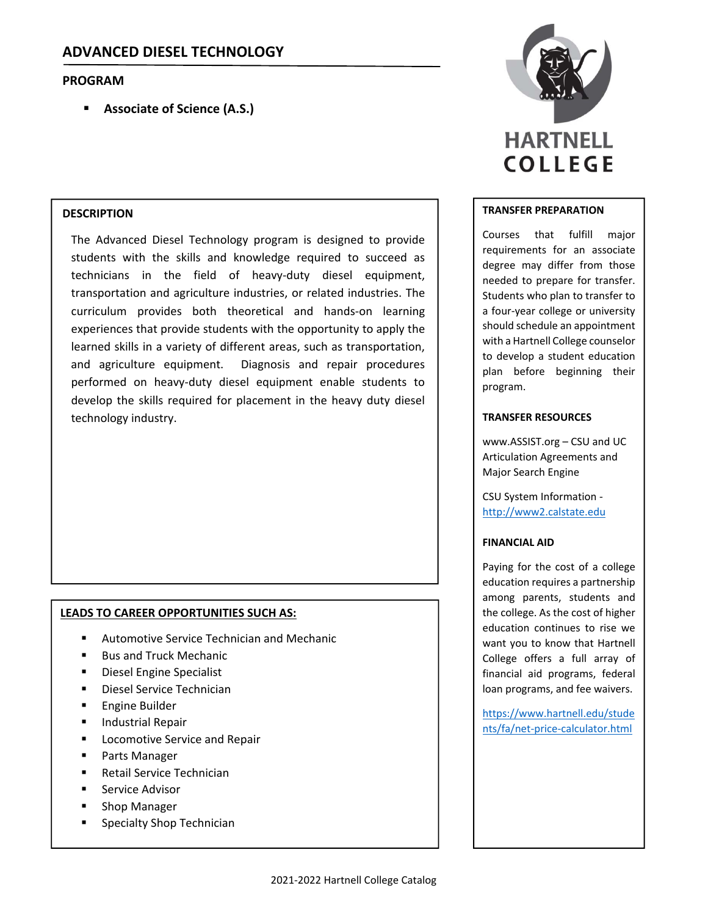## **PROGRAM**

**Associate of Science (A.S.)**

### **DESCRIPTION**

The Advanced Diesel Technology program is designed to provide students with the skills and knowledge required to succeed as technicians in the field of heavy‐duty diesel equipment, transportation and agriculture industries, or related industries. The curriculum provides both theoretical and hands‐on learning experiences that provide students with the opportunity to apply the learned skills in a variety of different areas, such as transportation, and agriculture equipment. Diagnosis and repair procedures performed on heavy-duty diesel equipment enable students to develop the skills required for placement in the heavy duty diesel technology industry.

## **LEADS TO CAREER OPPORTUNITIES SUCH AS:**

- Automotive Service Technician and Mechanic
- Bus and Truck Mechanic
- Diesel Engine Specialist
- Diesel Service Technician
- **Engine Builder**
- **Industrial Repair**
- Locomotive Service and Repair
- Parts Manager
- Retail Service Technician
- Service Advisor
- Shop Manager
- **Specialty Shop Technician**



#### **TRANSFER PREPARATION**

Courses that fulfill major requirements for an associate degree may differ from those needed to prepare for transfer. Students who plan to transfer to a four‐year college or university should schedule an appointment with a Hartnell College counselor to develop a student education plan before beginning their program.

#### **TRANSFER RESOURCES**

www.ASSIST.org – CSU and UC Articulation Agreements and Major Search Engine

CSU System Information ‐ http://www2.calstate.edu

#### **FINANCIAL AID**

Paying for the cost of a college education requires a partnership among parents, students and the college. As the cost of higher education continues to rise we want you to know that Hartnell College offers a full array of financial aid programs, federal loan programs, and fee waivers.

https://www.hartnell.edu/stude nts/fa/net‐price‐calculator.html